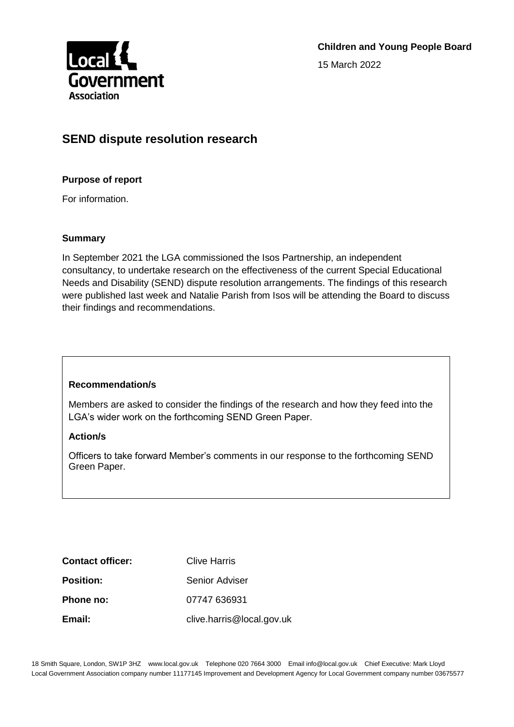

# **SEND dispute resolution research**

### **Purpose of report**

For information.

#### **Summary**

In September 2021 the LGA commissioned the Isos Partnership, an independent consultancy, to undertake research on the effectiveness of the current Special Educational Needs and Disability (SEND) dispute resolution arrangements. The findings of this research were published last week and Natalie Parish from Isos will be attending the Board to discuss their findings and recommendations.

#### **Recommendation/s**

Members are asked to consider the findings of the research and how they feed into the LGA's wider work on the forthcoming SEND Green Paper.

#### **Action/s**

Officers to take forward Member's comments in our response to the forthcoming SEND Green Paper.

| <b>Contact officer:</b> | Clive Harris              |
|-------------------------|---------------------------|
| <b>Position:</b>        | Senior Adviser            |
| Phone no:               | 07747 636931              |
| Email:                  | clive.harris@local.gov.uk |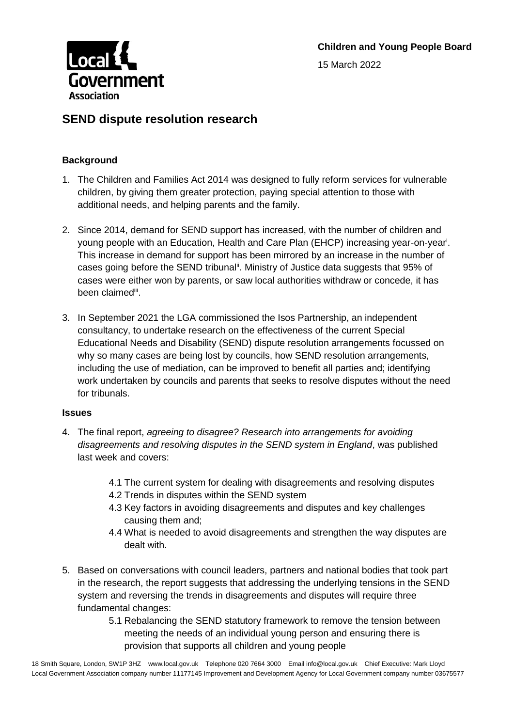

## **SEND dispute resolution research**

## **Background**

- 1. The Children and Families Act 2014 was designed to fully reform services for vulnerable children, by giving them greater protection, paying special attention to those with additional needs, and helping parents and the family.
- 2. Since 2014, demand for SEND support has increased, with the number of children and young people with an Education, Health and Care Plan (EHCP) increasing year-on-year<sup>i</sup>. This increase in demand for support has been mirrored by an increase in the number of cases going before the SEND tribunal<sup>ii</sup>. Ministry of Justice data suggests that 95% of cases were either won by parents, or saw local authorities withdraw or concede, it has been claimedii.
- 3. In September 2021 the LGA commissioned the Isos Partnership, an independent consultancy, to undertake research on the effectiveness of the current Special Educational Needs and Disability (SEND) dispute resolution arrangements focussed on why so many cases are being lost by councils, how SEND resolution arrangements, including the use of mediation, can be improved to benefit all parties and; identifying work undertaken by councils and parents that seeks to resolve disputes without the need for tribunals.

#### **Issues**

- 4. The final report, *agreeing to disagree? Research into arrangements for avoiding disagreements and resolving disputes in the SEND system in England*, was published last week and covers:
	- 4.1 The current system for dealing with disagreements and resolving disputes
	- 4.2 Trends in disputes within the SEND system
	- 4.3 Key factors in avoiding disagreements and disputes and key challenges causing them and;
	- 4.4 What is needed to avoid disagreements and strengthen the way disputes are dealt with.
- 5. Based on conversations with council leaders, partners and national bodies that took part in the research, the report suggests that addressing the underlying tensions in the SEND system and reversing the trends in disagreements and disputes will require three fundamental changes:
	- 5.1 Rebalancing the SEND statutory framework to remove the tension between meeting the needs of an individual young person and ensuring there is provision that supports all children and young people